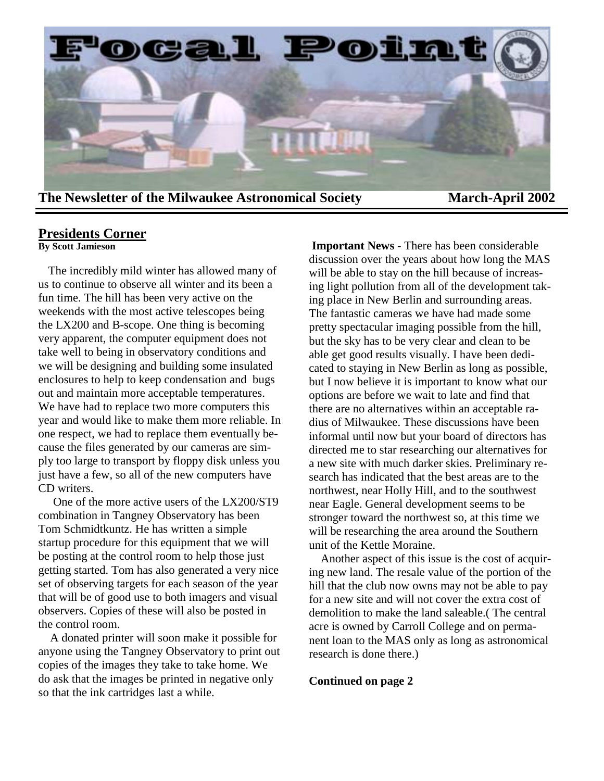

# **Presidents Corner**

**By Scott Jamieson**

 The incredibly mild winter has allowed many of us to continue to observe all winter and its been a fun time. The hill has been very active on the weekends with the most active telescopes being the LX200 and B-scope. One thing is becoming very apparent, the computer equipment does not take well to being in observatory conditions and we will be designing and building some insulated enclosures to help to keep condensation and bugs out and maintain more acceptable temperatures. We have had to replace two more computers this year and would like to make them more reliable. In one respect, we had to replace them eventually because the files generated by our cameras are simply too large to transport by floppy disk unless you just have a few, so all of the new computers have CD writers.

 One of the more active users of the LX200/ST9 combination in Tangney Observatory has been Tom Schmidtkuntz. He has written a simple startup procedure for this equipment that we will be posting at the control room to help those just getting started. Tom has also generated a very nice set of observing targets for each season of the year that will be of good use to both imagers and visual observers. Copies of these will also be posted in the control room.

 A donated printer will soon make it possible for anyone using the Tangney Observatory to print out copies of the images they take to take home. We do ask that the images be printed in negative only so that the ink cartridges last a while.

**Important News** - There has been considerable discussion over the years about how long the MAS will be able to stay on the hill because of increasing light pollution from all of the development taking place in New Berlin and surrounding areas. The fantastic cameras we have had made some pretty spectacular imaging possible from the hill, but the sky has to be very clear and clean to be able get good results visually. I have been dedicated to staying in New Berlin as long as possible, but I now believe it is important to know what our options are before we wait to late and find that there are no alternatives within an acceptable radius of Milwaukee. These discussions have been informal until now but your board of directors has directed me to star researching our alternatives for a new site with much darker skies. Preliminary research has indicated that the best areas are to the northwest, near Holly Hill, and to the southwest near Eagle. General development seems to be stronger toward the northwest so, at this time we will be researching the area around the Southern unit of the Kettle Moraine.

 Another aspect of this issue is the cost of acquiring new land. The resale value of the portion of the hill that the club now owns may not be able to pay for a new site and will not cover the extra cost of demolition to make the land saleable.( The central acre is owned by Carroll College and on permanent loan to the MAS only as long as astronomical research is done there.)

#### **Continued on page 2**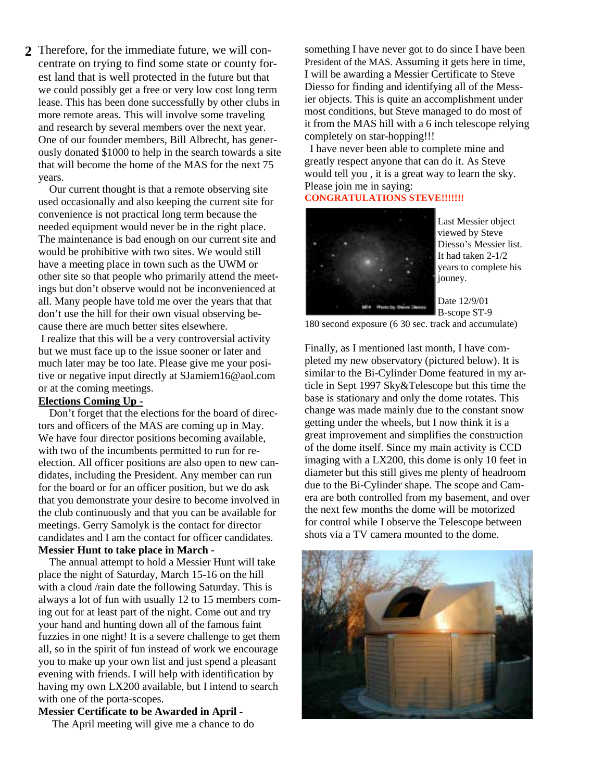2 Therefore, for the immediate future, we will con-<br>something I have never got to do since I have been centrate on trying to find some state or county forest land that is well protected in the future but that we could possibly get a free or very low cost long term lease. This has been done successfully by other clubs in more remote areas. This will involve some traveling and research by several members over the next year. One of our founder members, Bill Albrecht, has generously donated \$1000 to help in the search towards a site that will become the home of the MAS for the next 75 years.

 Our current thought is that a remote observing site used occasionally and also keeping the current site for convenience is not practical long term because the needed equipment would never be in the right place. The maintenance is bad enough on our current site and would be prohibitive with two sites. We would still have a meeting place in town such as the UWM or other site so that people who primarily attend the meetings but don't observe would not be inconvenienced at all. Many people have told me over the years that that don't use the hill for their own visual observing because there are much better sites elsewhere.

 I realize that this will be a very controversial activity but we must face up to the issue sooner or later and much later may be too late. Please give me your positive or negative input directly at SJamiem16@aol.com or at the coming meetings.

#### **Elections Coming Up -**

 Don't forget that the elections for the board of directors and officers of the MAS are coming up in May. We have four director positions becoming available, with two of the incumbents permitted to run for reelection. All officer positions are also open to new candidates, including the President. Any member can run for the board or for an officer position, but we do ask that you demonstrate your desire to become involved in the club continuously and that you can be available for meetings. Gerry Samolyk is the contact for director candidates and I am the contact for officer candidates. **Messier Hunt to take place in March -** 

 The annual attempt to hold a Messier Hunt will take place the night of Saturday, March 15-16 on the hill with a cloud /rain date the following Saturday. This is always a lot of fun with usually 12 to 15 members coming out for at least part of the night. Come out and try your hand and hunting down all of the famous faint fuzzies in one night! It is a severe challenge to get them all, so in the spirit of fun instead of work we encourage you to make up your own list and just spend a pleasant evening with friends. I will help with identification by having my own LX200 available, but I intend to search with one of the porta-scopes.

**Messier Certificate to be Awarded in April -** 

The April meeting will give me a chance to do

President of the MAS. Assuming it gets here in time, I will be awarding a Messier Certificate to Steve Diesso for finding and identifying all of the Messier objects. This is quite an accomplishment under most conditions, but Steve managed to do most of it from the MAS hill with a 6 inch telescope relying completely on star-hopping!!!

 I have never been able to complete mine and greatly respect anyone that can do it. As Steve would tell you , it is a great way to learn the sky. Please join me in saying:

### **CONGRATULATIONS STEVE!!!!!!!**



Last Messier object viewed by Steve Diesso's Messier list. It had taken 2-1/2 years to complete his jouney.

Date 12/9/01 B-scope ST-9

180 second exposure (6 30 sec. track and accumulate)

Finally, as I mentioned last month, I have completed my new observatory (pictured below). It is similar to the Bi-Cylinder Dome featured in my article in Sept 1997 Sky&Telescope but this time the base is stationary and only the dome rotates. This change was made mainly due to the constant snow getting under the wheels, but I now think it is a great improvement and simplifies the construction of the dome itself. Since my main activity is CCD imaging with a LX200, this dome is only 10 feet in diameter but this still gives me plenty of headroom due to the Bi-Cylinder shape. The scope and Camera are both controlled from my basement, and over the next few months the dome will be motorized for control while I observe the Telescope between shots via a TV camera mounted to the dome.

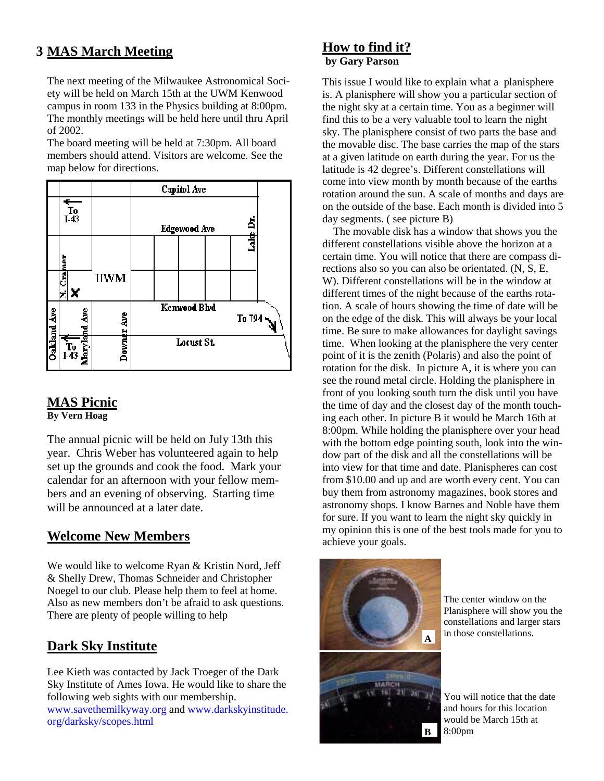# **MAS March Meeting 3**

The next meeting of the Milwaukee Astronomical Society will be held on March 15th at the UWM Kenwood campus in room 133 in the Physics building at 8:00pm. The monthly meetings will be held here until thru April of 2002.

The board meeting will be held at 7:30pm. All board members should attend. Visitors are welcome. See the map below for directions.



# **MAS Picnic**

**By Vern Hoag** 

The annual picnic will be held on July 13th this year. Chris Weber has volunteered again to help set up the grounds and cook the food. Mark your calendar for an afternoon with your fellow members and an evening of observing. Starting time will be announced at a later date.

# **Welcome New Members**

We would like to welcome Ryan & Kristin Nord, Jeff & Shelly Drew, Thomas Schneider and Christopher Noegel to our club. Please help them to feel at home. Also as new members don't be afraid to ask questions. There are plenty of people willing to help

# **Dark Sky Institute**

Lee Kieth was contacted by Jack Troeger of the Dark Sky Institute of Ames Iowa. He would like to share the following web sights with our membership. www.savethemilkyway.org and www.darkskyinstitude. org/darksky/scopes.html

## **How to find it? by Gary Parson**

This issue I would like to explain what a planisphere is. A planisphere will show you a particular section of the night sky at a certain time. You as a beginner will find this to be a very valuable tool to learn the night sky. The planisphere consist of two parts the base and the movable disc. The base carries the map of the stars at a given latitude on earth during the year. For us the latitude is 42 degree's. Different constellations will come into view month by month because of the earths rotation around the sun. A scale of months and days are on the outside of the base. Each month is divided into 5 day segments. ( see picture B)

 The movable disk has a window that shows you the different constellations visible above the horizon at a certain time. You will notice that there are compass directions also so you can also be orientated. (N, S, E, W). Different constellations will be in the window at different times of the night because of the earths rotation. A scale of hours showing the time of date will be on the edge of the disk. This will always be your local time. Be sure to make allowances for daylight savings time. When looking at the planisphere the very center point of it is the zenith (Polaris) and also the point of rotation for the disk. In picture A, it is where you can see the round metal circle. Holding the planisphere in front of you looking south turn the disk until you have the time of day and the closest day of the month touching each other. In picture B it would be March 16th at 8:00pm. While holding the planisphere over your head with the bottom edge pointing south, look into the window part of the disk and all the constellations will be into view for that time and date. Planispheres can cost from \$10.00 and up and are worth every cent. You can buy them from astronomy magazines, book stores and astronomy shops. I know Barnes and Noble have them for sure. If you want to learn the night sky quickly in my opinion this is one of the best tools made for you to achieve your goals.



The center window on the Planisphere will show you the constellations and larger stars in those constellations.

You will notice that the date and hours for this location would be March 15th at 8:00pm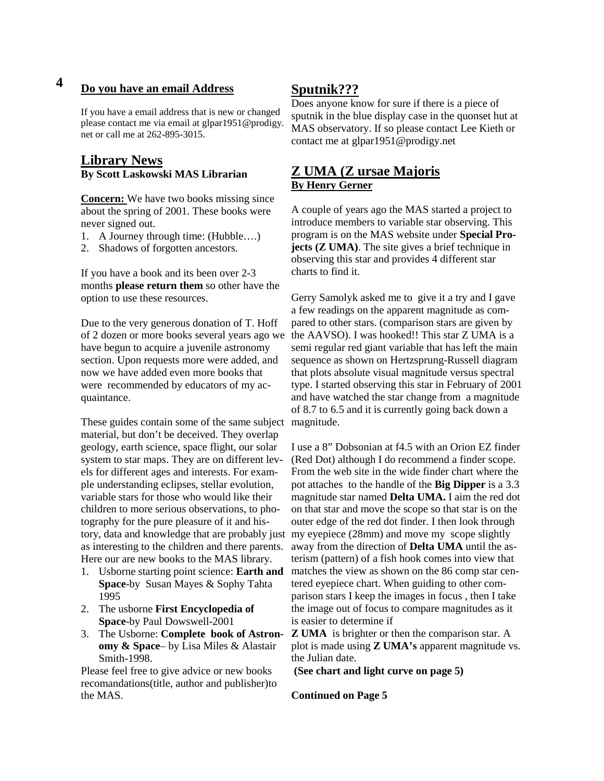# **4 Do you have an email Address**

If you have a email address that is new or changed please contact me via email at glpar1951@prodigy. net or call me at 262-895-3015.

### **Library News By Scott Laskowski MAS Librarian**

**Concern:** We have two books missing since about the spring of 2001. These books were never signed out.

- 1. A Journey through time: (Hubble….)
- 2. Shadows of forgotten ancestors.

If you have a book and its been over 2-3 months **please return them** so other have the option to use these resources.

Due to the very generous donation of T. Hoff of 2 dozen or more books several years ago we have begun to acquire a juvenile astronomy section. Upon requests more were added, and now we have added even more books that were recommended by educators of my acquaintance.

These guides contain some of the same subject magnitude. material, but don't be deceived. They overlap geology, earth science, space flight, our solar system to star maps. They are on different levels for different ages and interests. For example understanding eclipses, stellar evolution, variable stars for those who would like their children to more serious observations, to photography for the pure pleasure of it and hisas interesting to the children and there parents. Here our are new books to the MAS library.

- 1. Usborne starting point science: **Earth and Space**-by Susan Mayes & Sophy Tahta 1995
- 2. The usborne **First Encyclopedia of Space**-by Paul Dowswell-2001
- 3. The Usborne: **Complete book of Astronomy & Space**– by Lisa Miles & Alastair Smith-1998.

Please feel free to give advice or new books recomandations(title, author and publisher)to the MAS.

### **Sputnik???**

Does anyone know for sure if there is a piece of sputnik in the blue display case in the quonset hut at MAS observatory. If so please contact Lee Kieth or contact me at glpar1951@prodigy.net

### **Z UMA (Z ursae Majoris By Henry Gerner**

A couple of years ago the MAS started a project to introduce members to variable star observing. This program is on the MAS website under **Special Projects (Z UMA)**. The site gives a brief technique in observing this star and provides 4 different star charts to find it.

Gerry Samolyk asked me to give it a try and I gave a few readings on the apparent magnitude as compared to other stars. (comparison stars are given by the AAVSO). I was hooked!! This star Z UMA is a semi regular red giant variable that has left the main sequence as shown on Hertzsprung-Russell diagram that plots absolute visual magnitude versus spectral type. I started observing this star in February of 2001 and have watched the star change from a magnitude of 8.7 to 6.5 and it is currently going back down a

tory, data and knowledge that are probably just my eyepiece (28mm) and move my scope slightly I use a 8" Dobsonian at f4.5 with an Orion EZ finder (Red Dot) although I do recommend a finder scope. From the web site in the wide finder chart where the pot attaches to the handle of the **Big Dipper** is a 3.3 magnitude star named **Delta UMA.** I aim the red dot on that star and move the scope so that star is on the outer edge of the red dot finder. I then look through away from the direction of **Delta UMA** until the asterism (pattern) of a fish hook comes into view that matches the view as shown on the 86 comp star centered eyepiece chart. When guiding to other comparison stars I keep the images in focus , then I take the image out of focus to compare magnitudes as it is easier to determine if

> **Z UMA** is brighter or then the comparison star. A plot is made using **Z UMA's** apparent magnitude vs. the Julian date.

**(See chart and light curve on page 5)** 

**Continued on Page 5**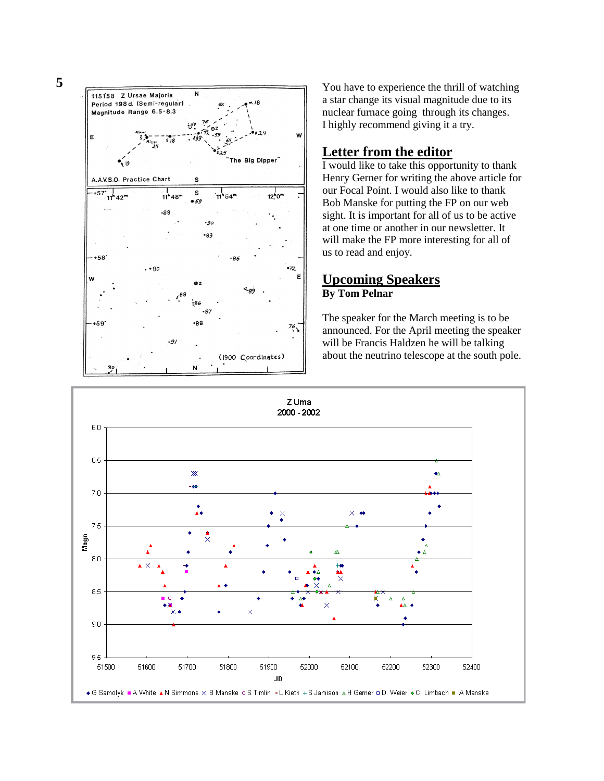**5** 



You have to experience the thrill of watching a star change its visual magnitude due to its nuclear furnace going through its changes. I highly recommend giving it a try.

### **Letter from the editor**

I would like to take this opportunity to thank Henry Gerner for writing the above article for our Focal Point. I would also like to thank Bob Manske for putting the FP on our web sight. It is important for all of us to be active at one time or another in our newsletter. It will make the FP more interesting for all of us to read and enjoy.

## **Upcoming Speakers By Tom Pelnar**

The speaker for the March meeting is to be announced. For the April meeting the speaker will be Francis Haldzen he will be talking about the neutrino telescope at the south pole.